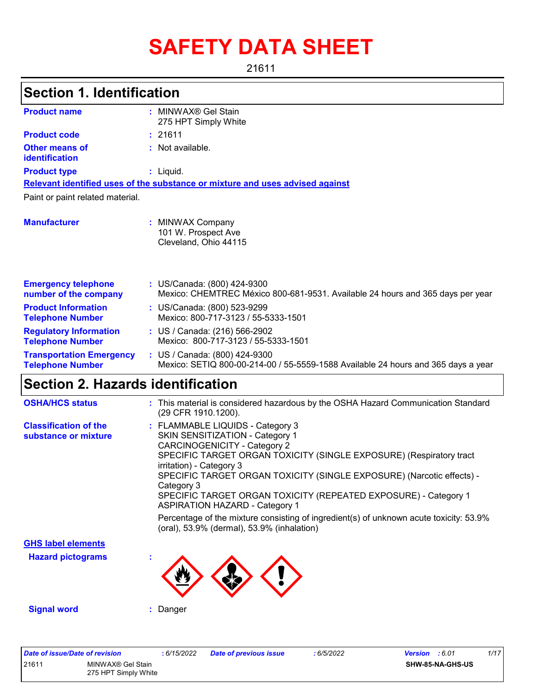# **SAFETY DATA SHEET**

21611

# **Section 1. Identification**

| <b>Product name</b>                                        | MINWAX® Gel Stain<br>٠<br>275 HPT Simply White                                                                     |
|------------------------------------------------------------|--------------------------------------------------------------------------------------------------------------------|
| <b>Product code</b>                                        | : 21611                                                                                                            |
| Other means of<br>identification                           | : Not available.                                                                                                   |
| <b>Product type</b>                                        | $:$ Liquid.                                                                                                        |
|                                                            | Relevant identified uses of the substance or mixture and uses advised against                                      |
| Paint or paint related material.                           |                                                                                                                    |
| <b>Manufacturer</b>                                        | : MINWAX Company<br>101 W. Prospect Ave<br>Cleveland, Ohio 44115                                                   |
| <b>Emergency telephone</b><br>number of the company        | : US/Canada: (800) 424-9300<br>Mexico: CHEMTREC México 800-681-9531. Available 24 hours and 365 days per year      |
| <b>Product Information</b><br><b>Telephone Number</b>      | : US/Canada: (800) 523-9299<br>Mexico: 800-717-3123 / 55-5333-1501                                                 |
| <b>Regulatory Information</b><br><b>Telephone Number</b>   | : US / Canada: (216) 566-2902<br>Mexico: 800-717-3123 / 55-5333-1501                                               |
| <b>Transportation Emergency</b><br><b>Telephone Number</b> | : US / Canada: (800) 424-9300<br>Mexico: SETIQ 800-00-214-00 / 55-5559-1588 Available 24 hours and 365 days a year |

### **Section 2. Hazards identification**

| <b>OSHA/HCS status</b>                               | : This material is considered hazardous by the OSHA Hazard Communication Standard<br>(29 CFR 1910.1200).                                                                                                                                                                                                                                                                                                                                                                                                   |
|------------------------------------------------------|------------------------------------------------------------------------------------------------------------------------------------------------------------------------------------------------------------------------------------------------------------------------------------------------------------------------------------------------------------------------------------------------------------------------------------------------------------------------------------------------------------|
| <b>Classification of the</b><br>substance or mixture | : FLAMMABLE LIQUIDS - Category 3<br>SKIN SENSITIZATION - Category 1<br><b>CARCINOGENICITY - Category 2</b><br>SPECIFIC TARGET ORGAN TOXICITY (SINGLE EXPOSURE) (Respiratory tract<br>irritation) - Category 3<br>SPECIFIC TARGET ORGAN TOXICITY (SINGLE EXPOSURE) (Narcotic effects) -<br>Category 3<br>SPECIFIC TARGET ORGAN TOXICITY (REPEATED EXPOSURE) - Category 1<br><b>ASPIRATION HAZARD - Category 1</b><br>Percentage of the mixture consisting of ingredient(s) of unknown acute toxicity: 53.9% |
|                                                      | (oral), 53.9% (dermal), 53.9% (inhalation)                                                                                                                                                                                                                                                                                                                                                                                                                                                                 |
| <b>GHS label elements</b>                            |                                                                                                                                                                                                                                                                                                                                                                                                                                                                                                            |
| <b>Hazard pictograms</b>                             |                                                                                                                                                                                                                                                                                                                                                                                                                                                                                                            |
| <b>Signal word</b>                                   | : Danger                                                                                                                                                                                                                                                                                                                                                                                                                                                                                                   |

| Date of issue/Date of revision |                                           | 6/15/2022 | <b>Date of previous issue</b> | : 6/5/2022 | 1/17<br><b>Version</b> : 6.01 |
|--------------------------------|-------------------------------------------|-----------|-------------------------------|------------|-------------------------------|
| 21611                          | MINWAX® Gel Stain<br>275 HPT Simply White |           |                               |            | <b>SHW-85-NA-GHS-US</b>       |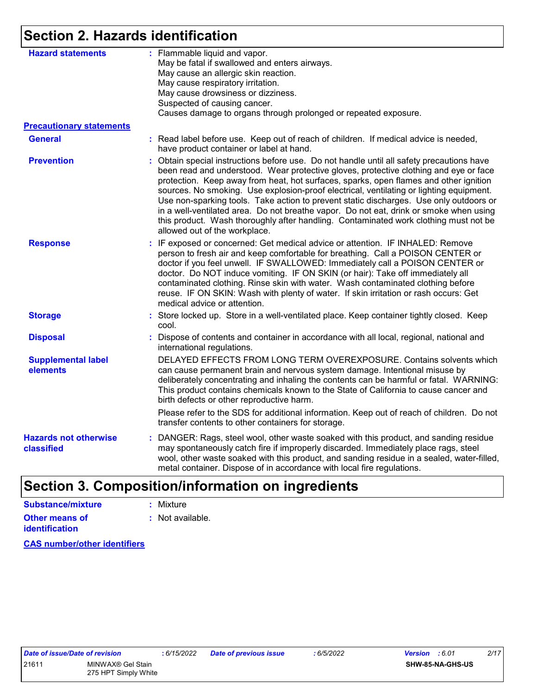## **Section 2. Hazards identification**

| <b>Hazard statements</b><br><b>Precautionary statements</b><br><b>General</b><br><b>Prevention</b><br><b>Response</b> | : Flammable liquid and vapor.<br>May be fatal if swallowed and enters airways.<br>May cause an allergic skin reaction.<br>May cause respiratory irritation.<br>May cause drowsiness or dizziness.<br>Suspected of causing cancer.<br>Causes damage to organs through prolonged or repeated exposure.<br>: Read label before use. Keep out of reach of children. If medical advice is needed,<br>have product container or label at hand.                                                                                                                                                                                                                                            |
|-----------------------------------------------------------------------------------------------------------------------|-------------------------------------------------------------------------------------------------------------------------------------------------------------------------------------------------------------------------------------------------------------------------------------------------------------------------------------------------------------------------------------------------------------------------------------------------------------------------------------------------------------------------------------------------------------------------------------------------------------------------------------------------------------------------------------|
|                                                                                                                       |                                                                                                                                                                                                                                                                                                                                                                                                                                                                                                                                                                                                                                                                                     |
|                                                                                                                       |                                                                                                                                                                                                                                                                                                                                                                                                                                                                                                                                                                                                                                                                                     |
|                                                                                                                       |                                                                                                                                                                                                                                                                                                                                                                                                                                                                                                                                                                                                                                                                                     |
|                                                                                                                       | : Obtain special instructions before use. Do not handle until all safety precautions have<br>been read and understood. Wear protective gloves, protective clothing and eye or face<br>protection. Keep away from heat, hot surfaces, sparks, open flames and other ignition<br>sources. No smoking. Use explosion-proof electrical, ventilating or lighting equipment.<br>Use non-sparking tools. Take action to prevent static discharges. Use only outdoors or<br>in a well-ventilated area. Do not breathe vapor. Do not eat, drink or smoke when using<br>this product. Wash thoroughly after handling. Contaminated work clothing must not be<br>allowed out of the workplace. |
|                                                                                                                       | : IF exposed or concerned: Get medical advice or attention. IF INHALED: Remove<br>person to fresh air and keep comfortable for breathing. Call a POISON CENTER or<br>doctor if you feel unwell. IF SWALLOWED: Immediately call a POISON CENTER or<br>doctor. Do NOT induce vomiting. IF ON SKIN (or hair): Take off immediately all<br>contaminated clothing. Rinse skin with water. Wash contaminated clothing before<br>reuse. IF ON SKIN: Wash with plenty of water. If skin irritation or rash occurs: Get<br>medical advice or attention.                                                                                                                                      |
| <b>Storage</b>                                                                                                        | : Store locked up. Store in a well-ventilated place. Keep container tightly closed. Keep<br>cool.                                                                                                                                                                                                                                                                                                                                                                                                                                                                                                                                                                                   |
| <b>Disposal</b>                                                                                                       | : Dispose of contents and container in accordance with all local, regional, national and<br>international regulations.                                                                                                                                                                                                                                                                                                                                                                                                                                                                                                                                                              |
| <b>Supplemental label</b><br>elements                                                                                 | DELAYED EFFECTS FROM LONG TERM OVEREXPOSURE. Contains solvents which<br>can cause permanent brain and nervous system damage. Intentional misuse by<br>deliberately concentrating and inhaling the contents can be harmful or fatal. WARNING:<br>This product contains chemicals known to the State of California to cause cancer and<br>birth defects or other reproductive harm.<br>Please refer to the SDS for additional information. Keep out of reach of children. Do not                                                                                                                                                                                                      |
|                                                                                                                       | transfer contents to other containers for storage.                                                                                                                                                                                                                                                                                                                                                                                                                                                                                                                                                                                                                                  |
| <b>Hazards not otherwise</b><br>classified                                                                            | : DANGER: Rags, steel wool, other waste soaked with this product, and sanding residue<br>may spontaneously catch fire if improperly discarded. Immediately place rags, steel<br>wool, other waste soaked with this product, and sanding residue in a sealed, water-filled,<br>metal container. Dispose of in accordance with local fire regulations.                                                                                                                                                                                                                                                                                                                                |

# **Section 3. Composition/information on ingredients**

| Substance/mixture                       | : Mixture        |
|-----------------------------------------|------------------|
| Other means of<br><b>identification</b> | : Not available. |

**CAS number/other identifiers**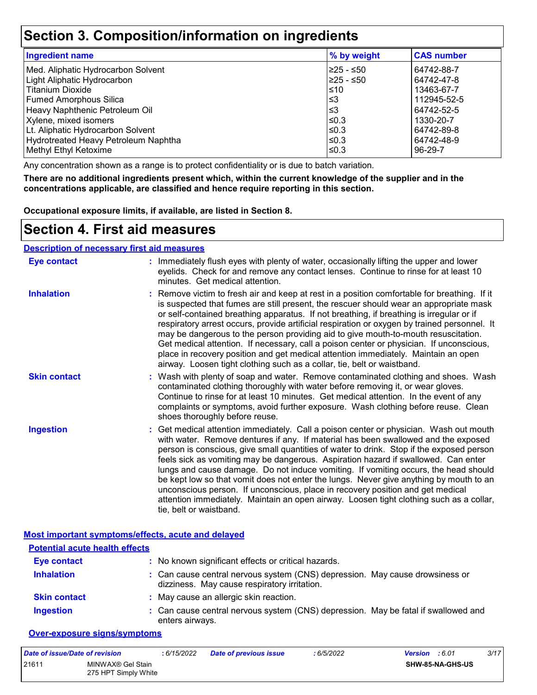### **Section 3. Composition/information on ingredients**

| <b>Ingredient name</b>               | % by weight | <b>CAS number</b> |
|--------------------------------------|-------------|-------------------|
| Med. Aliphatic Hydrocarbon Solvent   | 225 - ≤50   | 64742-88-7        |
| Light Aliphatic Hydrocarbon          | 225 - ≤50   | 64742-47-8        |
| <b>Titanium Dioxide</b>              | ≤10         | 13463-67-7        |
| <b>Fumed Amorphous Silica</b>        | l≤3         | 112945-52-5       |
| Heavy Naphthenic Petroleum Oil       | l≤3         | 64742-52-5        |
| Xylene, mixed isomers                | $\leq 0.3$  | 1330-20-7         |
| Lt. Aliphatic Hydrocarbon Solvent    | $\leq$ 0.3  | 64742-89-8        |
| Hydrotreated Heavy Petroleum Naphtha | $\leq$ 0.3  | 64742-48-9        |
| Methyl Ethyl Ketoxime                | $\leq$ 0.3  | 96-29-7           |

Any concentration shown as a range is to protect confidentiality or is due to batch variation.

**There are no additional ingredients present which, within the current knowledge of the supplier and in the concentrations applicable, are classified and hence require reporting in this section.**

**Occupational exposure limits, if available, are listed in Section 8.**

### **Section 4. First aid measures**

#### **Description of necessary first aid measures**

| <b>Eye contact</b>  | : Immediately flush eyes with plenty of water, occasionally lifting the upper and lower<br>eyelids. Check for and remove any contact lenses. Continue to rinse for at least 10<br>minutes. Get medical attention.                                                                                                                                                                                                                                                                                                                                                                                                                                                                                                                                       |
|---------------------|---------------------------------------------------------------------------------------------------------------------------------------------------------------------------------------------------------------------------------------------------------------------------------------------------------------------------------------------------------------------------------------------------------------------------------------------------------------------------------------------------------------------------------------------------------------------------------------------------------------------------------------------------------------------------------------------------------------------------------------------------------|
| <b>Inhalation</b>   | : Remove victim to fresh air and keep at rest in a position comfortable for breathing. If it<br>is suspected that fumes are still present, the rescuer should wear an appropriate mask<br>or self-contained breathing apparatus. If not breathing, if breathing is irregular or if<br>respiratory arrest occurs, provide artificial respiration or oxygen by trained personnel. It<br>may be dangerous to the person providing aid to give mouth-to-mouth resuscitation.<br>Get medical attention. If necessary, call a poison center or physician. If unconscious,<br>place in recovery position and get medical attention immediately. Maintain an open<br>airway. Loosen tight clothing such as a collar, tie, belt or waistband.                    |
| <b>Skin contact</b> | : Wash with plenty of soap and water. Remove contaminated clothing and shoes. Wash<br>contaminated clothing thoroughly with water before removing it, or wear gloves.<br>Continue to rinse for at least 10 minutes. Get medical attention. In the event of any<br>complaints or symptoms, avoid further exposure. Wash clothing before reuse. Clean<br>shoes thoroughly before reuse.                                                                                                                                                                                                                                                                                                                                                                   |
| <b>Ingestion</b>    | : Get medical attention immediately. Call a poison center or physician. Wash out mouth<br>with water. Remove dentures if any. If material has been swallowed and the exposed<br>person is conscious, give small quantities of water to drink. Stop if the exposed person<br>feels sick as vomiting may be dangerous. Aspiration hazard if swallowed. Can enter<br>lungs and cause damage. Do not induce vomiting. If vomiting occurs, the head should<br>be kept low so that vomit does not enter the lungs. Never give anything by mouth to an<br>unconscious person. If unconscious, place in recovery position and get medical<br>attention immediately. Maintain an open airway. Loosen tight clothing such as a collar,<br>tie, belt or waistband. |

#### **Most important symptoms/effects, acute and delayed**

| <b>Potential acute health effects</b> |                                                                                                                              |
|---------------------------------------|------------------------------------------------------------------------------------------------------------------------------|
| <b>Eye contact</b>                    | : No known significant effects or critical hazards.                                                                          |
| <b>Inhalation</b>                     | : Can cause central nervous system (CNS) depression. May cause drowsiness or<br>dizziness. May cause respiratory irritation. |
| <b>Skin contact</b>                   | : May cause an allergic skin reaction.                                                                                       |
| <b>Ingestion</b>                      | : Can cause central nervous system (CNS) depression. May be fatal if swallowed and<br>enters airways.                        |

#### **Over-exposure signs/symptoms**

| Date of issue/Date of revision |                                           | : 6/15/2022 | <b>Date of previous issue</b> | : 6/5/2022 | <b>Version</b> : 6.01 |                  | 3/17 |
|--------------------------------|-------------------------------------------|-------------|-------------------------------|------------|-----------------------|------------------|------|
| 21611                          | MINWAX® Gel Stain<br>275 HPT Simply White |             |                               |            |                       | SHW-85-NA-GHS-US |      |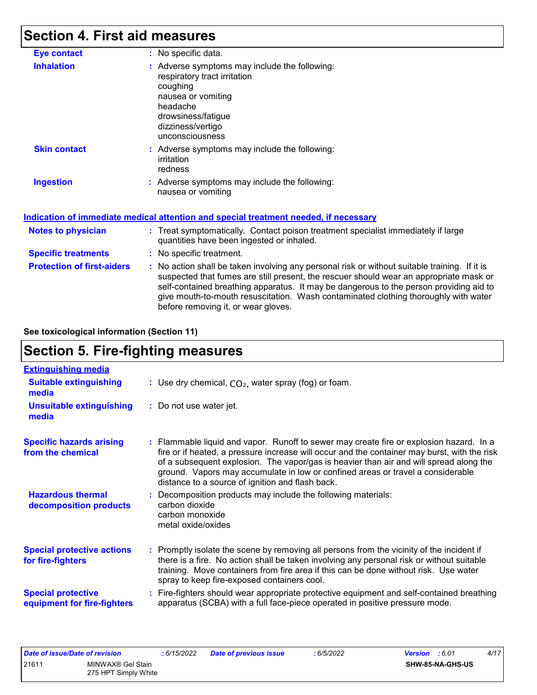# **Section 4. First aid measures**

| <b>Eye contact</b>                | : No specific data.                                                                                                                                                                                                                                                                                                                                                                                             |
|-----------------------------------|-----------------------------------------------------------------------------------------------------------------------------------------------------------------------------------------------------------------------------------------------------------------------------------------------------------------------------------------------------------------------------------------------------------------|
| <b>Inhalation</b>                 | : Adverse symptoms may include the following:<br>respiratory tract irritation<br>coughing<br>nausea or vomiting<br>headache<br>drowsiness/fatigue<br>dizziness/vertigo<br>unconsciousness                                                                                                                                                                                                                       |
| <b>Skin contact</b>               | : Adverse symptoms may include the following:<br>irritation<br>redness                                                                                                                                                                                                                                                                                                                                          |
| <b>Ingestion</b>                  | : Adverse symptoms may include the following:<br>nausea or vomiting                                                                                                                                                                                                                                                                                                                                             |
|                                   | Indication of immediate medical attention and special treatment needed, if necessary                                                                                                                                                                                                                                                                                                                            |
| <b>Notes to physician</b>         | : Treat symptomatically. Contact poison treatment specialist immediately if large<br>quantities have been ingested or inhaled.                                                                                                                                                                                                                                                                                  |
| <b>Specific treatments</b>        | : No specific treatment.                                                                                                                                                                                                                                                                                                                                                                                        |
| <b>Protection of first-aiders</b> | : No action shall be taken involving any personal risk or without suitable training. If it is<br>suspected that fumes are still present, the rescuer should wear an appropriate mask or<br>self-contained breathing apparatus. It may be dangerous to the person providing aid to<br>give mouth-to-mouth resuscitation. Wash contaminated clothing thoroughly with water<br>before removing it, or wear gloves. |

**See toxicological information (Section 11)**

## **Section 5. Fire-fighting measures**

| <b>Extinguishing media</b>                               |                                                                                                                                                                                                                                                                                                                                                                                                                          |
|----------------------------------------------------------|--------------------------------------------------------------------------------------------------------------------------------------------------------------------------------------------------------------------------------------------------------------------------------------------------------------------------------------------------------------------------------------------------------------------------|
| <b>Suitable extinguishing</b><br>media                   | : Use dry chemical, $CO2$ , water spray (fog) or foam.                                                                                                                                                                                                                                                                                                                                                                   |
| <b>Unsuitable extinguishing</b><br>media                 | : Do not use water jet.                                                                                                                                                                                                                                                                                                                                                                                                  |
| <b>Specific hazards arising</b><br>from the chemical     | : Flammable liquid and vapor. Runoff to sewer may create fire or explosion hazard. In a<br>fire or if heated, a pressure increase will occur and the container may burst, with the risk<br>of a subsequent explosion. The vapor/gas is heavier than air and will spread along the<br>ground. Vapors may accumulate in low or confined areas or travel a considerable<br>distance to a source of ignition and flash back. |
| <b>Hazardous thermal</b><br>decomposition products       | : Decomposition products may include the following materials:<br>carbon dioxide<br>carbon monoxide<br>metal oxide/oxides                                                                                                                                                                                                                                                                                                 |
| <b>Special protective actions</b><br>for fire-fighters   | : Promptly isolate the scene by removing all persons from the vicinity of the incident if<br>there is a fire. No action shall be taken involving any personal risk or without suitable<br>training. Move containers from fire area if this can be done without risk. Use water<br>spray to keep fire-exposed containers cool.                                                                                            |
| <b>Special protective</b><br>equipment for fire-fighters | : Fire-fighters should wear appropriate protective equipment and self-contained breathing<br>apparatus (SCBA) with a full face-piece operated in positive pressure mode.                                                                                                                                                                                                                                                 |

| Date of issue/Date of revision |                                           | 6/15/2022 | <b>Date of previous issue</b> | 6/5/2022 | <b>Version</b> : 6.01 |                  | 4/17 |
|--------------------------------|-------------------------------------------|-----------|-------------------------------|----------|-----------------------|------------------|------|
| 2161'                          | MINWAX® Gel Stain<br>275 HPT Simply White |           |                               |          |                       | SHW-85-NA-GHS-US |      |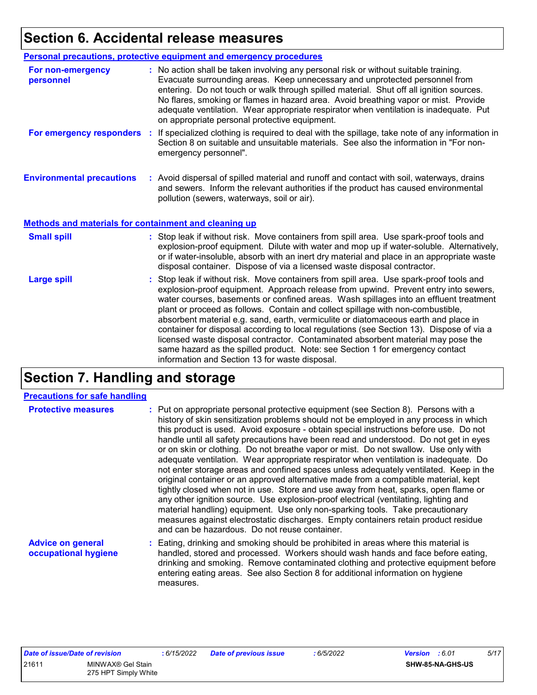# **Section 6. Accidental release measures**

|                                                       | Personal precautions, protective equipment and emergency procedures                                                                                                                                                                                                                                                                                                                                                                                                                                                                                                                                                                                                                                                                                                  |
|-------------------------------------------------------|----------------------------------------------------------------------------------------------------------------------------------------------------------------------------------------------------------------------------------------------------------------------------------------------------------------------------------------------------------------------------------------------------------------------------------------------------------------------------------------------------------------------------------------------------------------------------------------------------------------------------------------------------------------------------------------------------------------------------------------------------------------------|
| For non-emergency<br>personnel                        | : No action shall be taken involving any personal risk or without suitable training.<br>Evacuate surrounding areas. Keep unnecessary and unprotected personnel from<br>entering. Do not touch or walk through spilled material. Shut off all ignition sources.<br>No flares, smoking or flames in hazard area. Avoid breathing vapor or mist. Provide<br>adequate ventilation. Wear appropriate respirator when ventilation is inadequate. Put<br>on appropriate personal protective equipment.                                                                                                                                                                                                                                                                      |
| For emergency responders                              | : If specialized clothing is required to deal with the spillage, take note of any information in<br>Section 8 on suitable and unsuitable materials. See also the information in "For non-<br>emergency personnel".                                                                                                                                                                                                                                                                                                                                                                                                                                                                                                                                                   |
| <b>Environmental precautions</b>                      | : Avoid dispersal of spilled material and runoff and contact with soil, waterways, drains<br>and sewers. Inform the relevant authorities if the product has caused environmental<br>pollution (sewers, waterways, soil or air).                                                                                                                                                                                                                                                                                                                                                                                                                                                                                                                                      |
| Methods and materials for containment and cleaning up |                                                                                                                                                                                                                                                                                                                                                                                                                                                                                                                                                                                                                                                                                                                                                                      |
| <b>Small spill</b>                                    | : Stop leak if without risk. Move containers from spill area. Use spark-proof tools and<br>explosion-proof equipment. Dilute with water and mop up if water-soluble. Alternatively,<br>or if water-insoluble, absorb with an inert dry material and place in an appropriate waste<br>disposal container. Dispose of via a licensed waste disposal contractor.                                                                                                                                                                                                                                                                                                                                                                                                        |
| <b>Large spill</b>                                    | : Stop leak if without risk. Move containers from spill area. Use spark-proof tools and<br>explosion-proof equipment. Approach release from upwind. Prevent entry into sewers,<br>water courses, basements or confined areas. Wash spillages into an effluent treatment<br>plant or proceed as follows. Contain and collect spillage with non-combustible,<br>absorbent material e.g. sand, earth, vermiculite or diatomaceous earth and place in<br>container for disposal according to local regulations (see Section 13). Dispose of via a<br>licensed waste disposal contractor. Contaminated absorbent material may pose the<br>same hazard as the spilled product. Note: see Section 1 for emergency contact<br>information and Section 13 for waste disposal. |

# **Section 7. Handling and storage**

#### **Precautions for safe handling**

| <b>Protective measures</b>                       | : Put on appropriate personal protective equipment (see Section 8). Persons with a<br>history of skin sensitization problems should not be employed in any process in which<br>this product is used. Avoid exposure - obtain special instructions before use. Do not<br>handle until all safety precautions have been read and understood. Do not get in eyes<br>or on skin or clothing. Do not breathe vapor or mist. Do not swallow. Use only with<br>adequate ventilation. Wear appropriate respirator when ventilation is inadequate. Do<br>not enter storage areas and confined spaces unless adequately ventilated. Keep in the<br>original container or an approved alternative made from a compatible material, kept<br>tightly closed when not in use. Store and use away from heat, sparks, open flame or<br>any other ignition source. Use explosion-proof electrical (ventilating, lighting and<br>material handling) equipment. Use only non-sparking tools. Take precautionary<br>measures against electrostatic discharges. Empty containers retain product residue<br>and can be hazardous. Do not reuse container. |
|--------------------------------------------------|-------------------------------------------------------------------------------------------------------------------------------------------------------------------------------------------------------------------------------------------------------------------------------------------------------------------------------------------------------------------------------------------------------------------------------------------------------------------------------------------------------------------------------------------------------------------------------------------------------------------------------------------------------------------------------------------------------------------------------------------------------------------------------------------------------------------------------------------------------------------------------------------------------------------------------------------------------------------------------------------------------------------------------------------------------------------------------------------------------------------------------------|
| <b>Advice on general</b><br>occupational hygiene | : Eating, drinking and smoking should be prohibited in areas where this material is<br>handled, stored and processed. Workers should wash hands and face before eating,<br>drinking and smoking. Remove contaminated clothing and protective equipment before<br>entering eating areas. See also Section 8 for additional information on hygiene                                                                                                                                                                                                                                                                                                                                                                                                                                                                                                                                                                                                                                                                                                                                                                                    |

| Date of issue/Date of revision |                                           | : 6/15/2022 | Date of previous issue | : 6/5/2022 | <b>Version</b> : 6.01   | 5/17 |
|--------------------------------|-------------------------------------------|-------------|------------------------|------------|-------------------------|------|
| 21611                          | MINWAX® Gel Stain<br>275 HPT Simply White |             |                        |            | <b>SHW-85-NA-GHS-US</b> |      |

measures.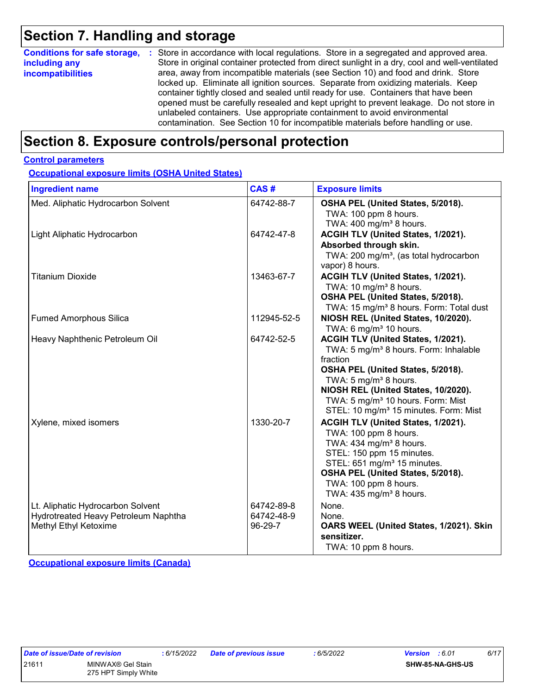### **Section 7. Handling and storage**

| <b>Conditions for safe storage,</b>       | : Store in accordance with local regulations. Store in a segregated and approved area.                                                                                                                                                                                                                                                                                                                                             |
|-------------------------------------------|------------------------------------------------------------------------------------------------------------------------------------------------------------------------------------------------------------------------------------------------------------------------------------------------------------------------------------------------------------------------------------------------------------------------------------|
| including any<br><i>incompatibilities</i> | Store in original container protected from direct sunlight in a dry, cool and well-ventilated<br>area, away from incompatible materials (see Section 10) and food and drink. Store                                                                                                                                                                                                                                                 |
|                                           | locked up. Eliminate all ignition sources. Separate from oxidizing materials. Keep<br>container tightly closed and sealed until ready for use. Containers that have been<br>opened must be carefully resealed and kept upright to prevent leakage. Do not store in<br>unlabeled containers. Use appropriate containment to avoid environmental<br>contamination. See Section 10 for incompatible materials before handling or use. |

### **Section 8. Exposure controls/personal protection**

#### **Control parameters**

**Occupational exposure limits (OSHA United States)**

| <b>Ingredient name</b>                                                                             | CAS#                                | <b>Exposure limits</b>                                                                                                                                                                                                                                                                                                    |
|----------------------------------------------------------------------------------------------------|-------------------------------------|---------------------------------------------------------------------------------------------------------------------------------------------------------------------------------------------------------------------------------------------------------------------------------------------------------------------------|
| Med. Aliphatic Hydrocarbon Solvent                                                                 | 64742-88-7                          | OSHA PEL (United States, 5/2018).<br>TWA: 100 ppm 8 hours.<br>TWA: $400 \text{ mg/m}^3$ 8 hours.                                                                                                                                                                                                                          |
| Light Aliphatic Hydrocarbon                                                                        | 64742-47-8                          | ACGIH TLV (United States, 1/2021).<br>Absorbed through skin.<br>TWA: 200 mg/m <sup>3</sup> , (as total hydrocarbon<br>vapor) 8 hours.                                                                                                                                                                                     |
| <b>Titanium Dioxide</b>                                                                            | 13463-67-7                          | ACGIH TLV (United States, 1/2021).<br>TWA: 10 mg/m <sup>3</sup> 8 hours.<br>OSHA PEL (United States, 5/2018).<br>TWA: 15 mg/m <sup>3</sup> 8 hours. Form: Total dust                                                                                                                                                      |
| <b>Fumed Amorphous Silica</b>                                                                      | 112945-52-5                         | NIOSH REL (United States, 10/2020).<br>TWA: 6 mg/m <sup>3</sup> 10 hours.                                                                                                                                                                                                                                                 |
| Heavy Naphthenic Petroleum Oil                                                                     | 64742-52-5                          | ACGIH TLV (United States, 1/2021).<br>TWA: 5 mg/m <sup>3</sup> 8 hours. Form: Inhalable<br>fraction<br>OSHA PEL (United States, 5/2018).<br>TWA: $5 \text{ mg/m}^3$ 8 hours.<br>NIOSH REL (United States, 10/2020).<br>TWA: 5 mg/m <sup>3</sup> 10 hours. Form: Mist<br>STEL: 10 mg/m <sup>3</sup> 15 minutes. Form: Mist |
| Xylene, mixed isomers                                                                              | 1330-20-7                           | ACGIH TLV (United States, 1/2021).<br>TWA: 100 ppm 8 hours.<br>TWA: 434 mg/m <sup>3</sup> 8 hours.<br>STEL: 150 ppm 15 minutes.<br>STEL: 651 mg/m <sup>3</sup> 15 minutes.<br>OSHA PEL (United States, 5/2018).<br>TWA: 100 ppm 8 hours.<br>TWA: $435 \text{ mg/m}^3$ 8 hours.                                            |
| Lt. Aliphatic Hydrocarbon Solvent<br>Hydrotreated Heavy Petroleum Naphtha<br>Methyl Ethyl Ketoxime | 64742-89-8<br>64742-48-9<br>96-29-7 | None.<br>None.<br>OARS WEEL (United States, 1/2021). Skin<br>sensitizer.<br>TWA: 10 ppm 8 hours.                                                                                                                                                                                                                          |

**Occupational exposure limits (Canada)**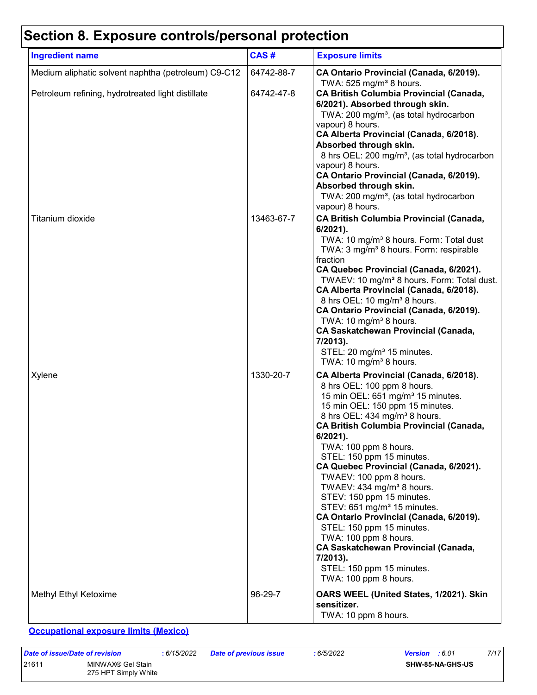# **Section 8. Exposure controls/personal protection**

| <b>Ingredient name</b>                              | CAS#       | <b>Exposure limits</b>                                                                                                                                                                                                                                                                                                                                                                                                                                                                                                                                                                                                                                                                                                             |
|-----------------------------------------------------|------------|------------------------------------------------------------------------------------------------------------------------------------------------------------------------------------------------------------------------------------------------------------------------------------------------------------------------------------------------------------------------------------------------------------------------------------------------------------------------------------------------------------------------------------------------------------------------------------------------------------------------------------------------------------------------------------------------------------------------------------|
| Medium aliphatic solvent naphtha (petroleum) C9-C12 | 64742-88-7 | CA Ontario Provincial (Canada, 6/2019).<br>TWA: $525$ mg/m <sup>3</sup> 8 hours.                                                                                                                                                                                                                                                                                                                                                                                                                                                                                                                                                                                                                                                   |
| Petroleum refining, hydrotreated light distillate   | 64742-47-8 | <b>CA British Columbia Provincial (Canada,</b><br>6/2021). Absorbed through skin.<br>TWA: 200 mg/m <sup>3</sup> , (as total hydrocarbon<br>vapour) 8 hours.<br>CA Alberta Provincial (Canada, 6/2018).<br>Absorbed through skin.<br>8 hrs OEL: 200 mg/m <sup>3</sup> , (as total hydrocarbon<br>vapour) 8 hours.<br>CA Ontario Provincial (Canada, 6/2019).<br>Absorbed through skin.<br>TWA: 200 mg/m <sup>3</sup> , (as total hydrocarbon<br>vapour) 8 hours.                                                                                                                                                                                                                                                                    |
| Titanium dioxide                                    | 13463-67-7 | <b>CA British Columbia Provincial (Canada,</b><br>$6/2021$ ).<br>TWA: 10 mg/m <sup>3</sup> 8 hours. Form: Total dust<br>TWA: 3 mg/m <sup>3</sup> 8 hours. Form: respirable<br>fraction<br>CA Quebec Provincial (Canada, 6/2021).<br>TWAEV: 10 mg/m <sup>3</sup> 8 hours. Form: Total dust.<br>CA Alberta Provincial (Canada, 6/2018).<br>8 hrs OEL: 10 mg/m <sup>3</sup> 8 hours.<br>CA Ontario Provincial (Canada, 6/2019).<br>TWA: 10 mg/m <sup>3</sup> 8 hours.<br><b>CA Saskatchewan Provincial (Canada,</b><br>7/2013).<br>STEL: 20 mg/m <sup>3</sup> 15 minutes.<br>TWA: 10 mg/m <sup>3</sup> 8 hours.                                                                                                                       |
| Xylene                                              | 1330-20-7  | CA Alberta Provincial (Canada, 6/2018).<br>8 hrs OEL: 100 ppm 8 hours.<br>15 min OEL: 651 mg/m <sup>3</sup> 15 minutes.<br>15 min OEL: 150 ppm 15 minutes.<br>8 hrs OEL: 434 mg/m <sup>3</sup> 8 hours.<br><b>CA British Columbia Provincial (Canada,</b><br>6/2021).<br>TWA: 100 ppm 8 hours.<br>STEL: 150 ppm 15 minutes.<br>CA Quebec Provincial (Canada, 6/2021).<br>TWAEV: 100 ppm 8 hours.<br>TWAEV: 434 mg/m <sup>3</sup> 8 hours.<br>STEV: 150 ppm 15 minutes.<br>STEV: 651 mg/m <sup>3</sup> 15 minutes.<br>CA Ontario Provincial (Canada, 6/2019).<br>STEL: 150 ppm 15 minutes.<br>TWA: 100 ppm 8 hours.<br><b>CA Saskatchewan Provincial (Canada,</b><br>7/2013).<br>STEL: 150 ppm 15 minutes.<br>TWA: 100 ppm 8 hours. |
| Methyl Ethyl Ketoxime                               | 96-29-7    | OARS WEEL (United States, 1/2021). Skin<br>sensitizer.<br>TWA: 10 ppm 8 hours.                                                                                                                                                                                                                                                                                                                                                                                                                                                                                                                                                                                                                                                     |

**Occupational exposure limits (Mexico)**

| Date of issue/Date of revision |                                           | : 6/15/2022 | <b>Date of previous issue</b> | : 6/5/2022 | <b>Version</b> : 6.01 |                         | 7/17 |
|--------------------------------|-------------------------------------------|-------------|-------------------------------|------------|-----------------------|-------------------------|------|
| 21611                          | MINWAX® Gel Stain<br>275 HPT Simply White |             |                               |            |                       | <b>SHW-85-NA-GHS-US</b> |      |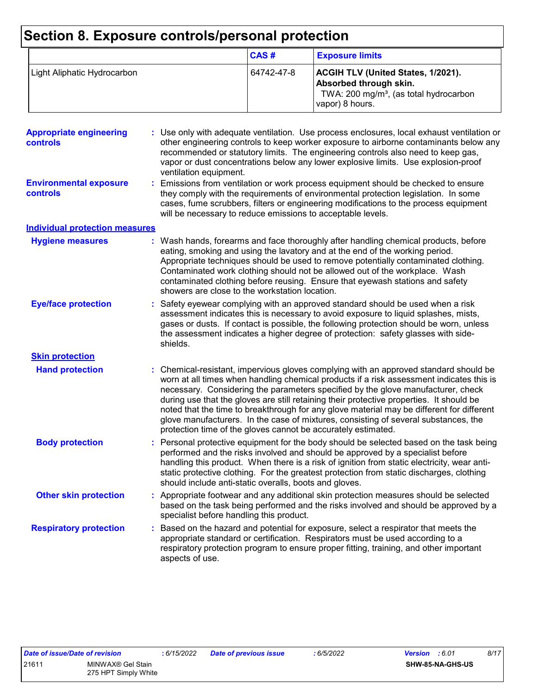# **Section 8. Exposure controls/personal protection**

|                             | CAS#       | <b>Exposure limits</b>                                                                                                                       |
|-----------------------------|------------|----------------------------------------------------------------------------------------------------------------------------------------------|
| Light Aliphatic Hydrocarbon | 64742-47-8 | <b>ACGIH TLV (United States, 1/2021).</b><br>Absorbed through skin.<br>TWA: 200 mg/m <sup>3</sup> , (as total hydrocarbon<br>vapor) 8 hours. |

| <b>Appropriate engineering</b><br><b>controls</b> | : Use only with adequate ventilation. Use process enclosures, local exhaust ventilation or<br>other engineering controls to keep worker exposure to airborne contaminants below any<br>recommended or statutory limits. The engineering controls also need to keep gas,<br>vapor or dust concentrations below any lower explosive limits. Use explosion-proof<br>ventilation equipment.                                                                                                                                                                                                                                |
|---------------------------------------------------|------------------------------------------------------------------------------------------------------------------------------------------------------------------------------------------------------------------------------------------------------------------------------------------------------------------------------------------------------------------------------------------------------------------------------------------------------------------------------------------------------------------------------------------------------------------------------------------------------------------------|
| <b>Environmental exposure</b><br><b>controls</b>  | Emissions from ventilation or work process equipment should be checked to ensure<br>they comply with the requirements of environmental protection legislation. In some<br>cases, fume scrubbers, filters or engineering modifications to the process equipment<br>will be necessary to reduce emissions to acceptable levels.                                                                                                                                                                                                                                                                                          |
| <b>Individual protection measures</b>             |                                                                                                                                                                                                                                                                                                                                                                                                                                                                                                                                                                                                                        |
| <b>Hygiene measures</b>                           | : Wash hands, forearms and face thoroughly after handling chemical products, before<br>eating, smoking and using the lavatory and at the end of the working period.<br>Appropriate techniques should be used to remove potentially contaminated clothing.<br>Contaminated work clothing should not be allowed out of the workplace. Wash<br>contaminated clothing before reusing. Ensure that eyewash stations and safety<br>showers are close to the workstation location.                                                                                                                                            |
| <b>Eye/face protection</b>                        | : Safety eyewear complying with an approved standard should be used when a risk<br>assessment indicates this is necessary to avoid exposure to liquid splashes, mists,<br>gases or dusts. If contact is possible, the following protection should be worn, unless<br>the assessment indicates a higher degree of protection: safety glasses with side-<br>shields.                                                                                                                                                                                                                                                     |
| <b>Skin protection</b>                            |                                                                                                                                                                                                                                                                                                                                                                                                                                                                                                                                                                                                                        |
| <b>Hand protection</b>                            | : Chemical-resistant, impervious gloves complying with an approved standard should be<br>worn at all times when handling chemical products if a risk assessment indicates this is<br>necessary. Considering the parameters specified by the glove manufacturer, check<br>during use that the gloves are still retaining their protective properties. It should be<br>noted that the time to breakthrough for any glove material may be different for different<br>glove manufacturers. In the case of mixtures, consisting of several substances, the<br>protection time of the gloves cannot be accurately estimated. |
| <b>Body protection</b>                            | : Personal protective equipment for the body should be selected based on the task being<br>performed and the risks involved and should be approved by a specialist before<br>handling this product. When there is a risk of ignition from static electricity, wear anti-<br>static protective clothing. For the greatest protection from static discharges, clothing<br>should include anti-static overalls, boots and gloves.                                                                                                                                                                                         |
| <b>Other skin protection</b>                      | : Appropriate footwear and any additional skin protection measures should be selected<br>based on the task being performed and the risks involved and should be approved by a<br>specialist before handling this product.                                                                                                                                                                                                                                                                                                                                                                                              |
| <b>Respiratory protection</b>                     | : Based on the hazard and potential for exposure, select a respirator that meets the<br>appropriate standard or certification. Respirators must be used according to a<br>respiratory protection program to ensure proper fitting, training, and other important<br>aspects of use.                                                                                                                                                                                                                                                                                                                                    |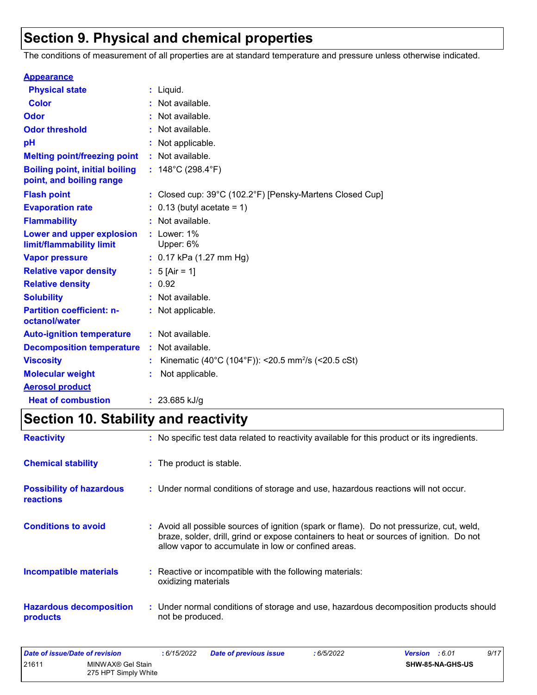## **Section 9. Physical and chemical properties**

The conditions of measurement of all properties are at standard temperature and pressure unless otherwise indicated.

| <b>Appearance</b>                                                 |                                                                |
|-------------------------------------------------------------------|----------------------------------------------------------------|
| <b>Physical state</b>                                             | $:$ Liquid.                                                    |
| <b>Color</b>                                                      | : Not available.                                               |
| Odor                                                              | : Not available.                                               |
| <b>Odor threshold</b>                                             | : Not available.                                               |
| рH                                                                | Not applicable.                                                |
| <b>Melting point/freezing point</b>                               | : Not available.                                               |
| <b>Boiling point, initial boiling</b><br>point, and boiling range | : $148^{\circ}$ C (298.4 $^{\circ}$ F)                         |
| <b>Flash point</b>                                                | : Closed cup: 39°C (102.2°F) [Pensky-Martens Closed Cup]       |
| <b>Evaporation rate</b>                                           | $: 0.13$ (butyl acetate = 1)                                   |
| <b>Flammability</b>                                               | : Not available.                                               |
| Lower and upper explosion<br>limit/flammability limit             | $:$ Lower: $1\%$<br>Upper: 6%                                  |
| <b>Vapor pressure</b>                                             | : $0.17$ kPa (1.27 mm Hg)                                      |
| <b>Relative vapor density</b>                                     | : $5$ [Air = 1]                                                |
| <b>Relative density</b>                                           | : 0.92                                                         |
| <b>Solubility</b>                                                 | : Not available.                                               |
| <b>Partition coefficient: n-</b><br>octanol/water                 | : Not applicable.                                              |
| <b>Auto-ignition temperature</b>                                  | : Not available.                                               |
| <b>Decomposition temperature</b>                                  | : Not available.                                               |
| <b>Viscosity</b>                                                  | Kinematic (40°C (104°F)): <20.5 mm <sup>2</sup> /s (<20.5 cSt) |
| <b>Molecular weight</b>                                           | Not applicable.                                                |
| <b>Aerosol product</b>                                            |                                                                |
| <b>Heat of combustion</b>                                         | : $23.685$ kJ/g                                                |

# **Section 10. Stability and reactivity**

| <b>Reactivity</b>                                   | : No specific test data related to reactivity available for this product or its ingredients.                                                                                                                                               |
|-----------------------------------------------------|--------------------------------------------------------------------------------------------------------------------------------------------------------------------------------------------------------------------------------------------|
| <b>Chemical stability</b>                           | : The product is stable.                                                                                                                                                                                                                   |
| <b>Possibility of hazardous</b><br><b>reactions</b> | : Under normal conditions of storage and use, hazardous reactions will not occur.                                                                                                                                                          |
| <b>Conditions to avoid</b>                          | : Avoid all possible sources of ignition (spark or flame). Do not pressurize, cut, weld,<br>braze, solder, drill, grind or expose containers to heat or sources of ignition. Do not<br>allow vapor to accumulate in low or confined areas. |
| <b>Incompatible materials</b>                       | : Reactive or incompatible with the following materials:<br>oxidizing materials                                                                                                                                                            |
| <b>Hazardous decomposition</b><br>products          | : Under normal conditions of storage and use, hazardous decomposition products should<br>not be produced.                                                                                                                                  |

| Date of issue/Date of revision                     |  | : 6/15/2022 | <b>Date of previous issue</b> | 6/5/2022         | 9/17<br><b>Version</b> : 6.01 |
|----------------------------------------------------|--|-------------|-------------------------------|------------------|-------------------------------|
| 21611<br>MINWAX® Gel Stain<br>275 HPT Simply White |  |             |                               | SHW-85-NA-GHS-US |                               |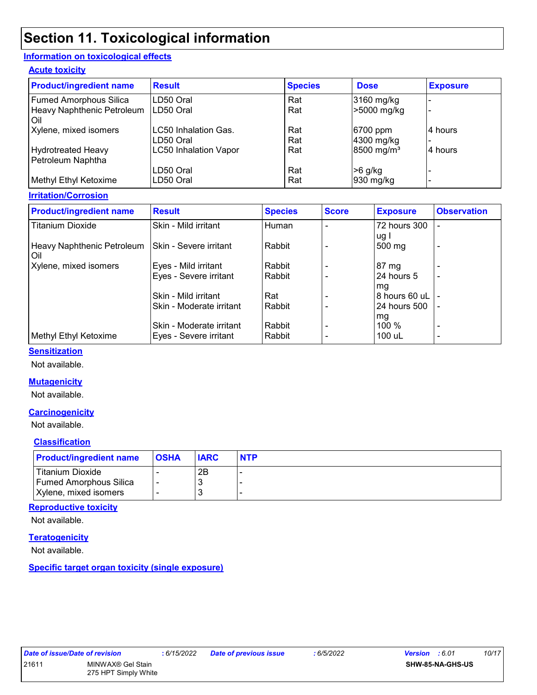## **Section 11. Toxicological information**

#### **Information on toxicological effects**

#### **Acute toxicity**

| <b>Product/ingredient name</b>          | <b>Result</b>                | <b>Species</b> | <b>Dose</b>            | <b>Exposure</b> |
|-----------------------------------------|------------------------------|----------------|------------------------|-----------------|
| <b>Fumed Amorphous Silica</b>           | LD50 Oral                    | Rat            | 3160 mg/kg             |                 |
| Heavy Naphthenic Petroleum<br>Oil       | LD50 Oral                    | Rat            | >5000 mg/kg            |                 |
| Xylene, mixed isomers                   | LC50 Inhalation Gas.         | Rat            | 6700 ppm               | 4 hours         |
|                                         | LD50 Oral                    | Rat            | 4300 mg/kg             |                 |
| Hydrotreated Heavy<br>Petroleum Naphtha | <b>LC50 Inhalation Vapor</b> | Rat            | 8500 mg/m <sup>3</sup> | 4 hours         |
|                                         | LD50 Oral                    | Rat            | $>6$ g/kg              |                 |
| Methyl Ethyl Ketoxime                   | LD50 Oral                    | Rat            | $930$ mg/kg            |                 |

#### **Irritation/Corrosion**

| <b>Product/ingredient name</b>      | <b>Result</b>                 | <b>Species</b> | <b>Score</b> | <b>Exposure</b>          | <b>Observation</b>       |
|-------------------------------------|-------------------------------|----------------|--------------|--------------------------|--------------------------|
| <b>Titanium Dioxide</b>             | Skin - Mild irritant          | Human          |              | 72 hours 300             |                          |
| Heavy Naphthenic Petroleum<br>l Oil | <b>Skin - Severe irritant</b> | Rabbit         |              | ug l<br>$500 \text{ mg}$ | $\overline{\phantom{0}}$ |
| Xylene, mixed isomers               | Eyes - Mild irritant          | Rabbit         |              | 187 mg                   |                          |
|                                     | Eyes - Severe irritant        | Rabbit         |              | 24 hours 5               | $\overline{\phantom{0}}$ |
|                                     |                               |                |              | mg                       |                          |
|                                     | Skin - Mild irritant          | Rat            |              | 8 hours 60 uL            |                          |
|                                     | Skin - Moderate irritant      | Rabbit         |              | 24 hours 500             |                          |
|                                     |                               |                |              | mg                       |                          |
|                                     | Skin - Moderate irritant      | Rabbit         |              | $100\%$                  | $\overline{\phantom{0}}$ |
| Methyl Ethyl Ketoxime               | Eyes - Severe irritant        | Rabbit         |              | 100 uL                   | $\overline{\phantom{0}}$ |

#### **Sensitization**

Not available.

#### **Mutagenicity**

Not available.

#### **Carcinogenicity**

Not available.

#### **Classification**

| <b>Product/ingredient name</b> | <b>OSHA</b> | <b>IARC</b> | <b>NTP</b> |
|--------------------------------|-------------|-------------|------------|
| Titanium Dioxide               |             | 2B          |            |
| <b>Fumed Amorphous Silica</b>  |             | -3          |            |
| Xylene, mixed isomers          |             | г.          |            |

#### **Reproductive toxicity**

Not available.

#### **Teratogenicity**

Not available.

**Specific target organ toxicity (single exposure)**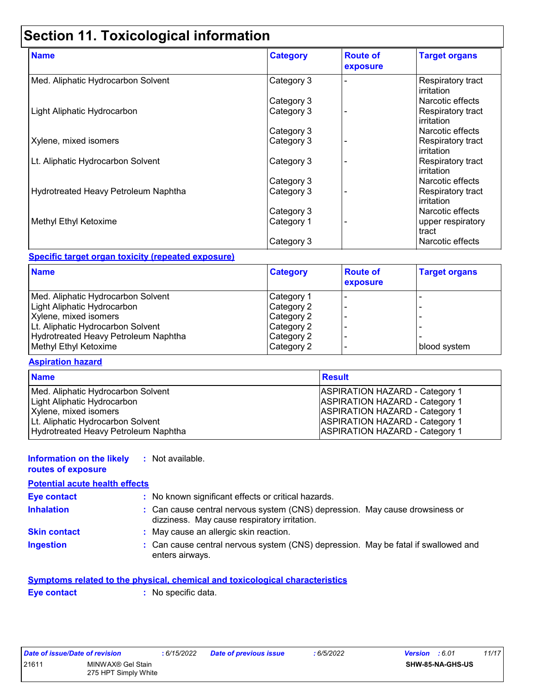# **Section 11. Toxicological information**

| <b>Name</b>                          | <b>Category</b> | <b>Route of</b><br>exposure | <b>Target organs</b>                   |
|--------------------------------------|-----------------|-----------------------------|----------------------------------------|
| Med. Aliphatic Hydrocarbon Solvent   | Category 3      |                             | Respiratory tract<br><b>irritation</b> |
|                                      | Category 3      |                             | Narcotic effects                       |
| Light Aliphatic Hydrocarbon          | Category 3      |                             | Respiratory tract<br><b>irritation</b> |
|                                      | Category 3      |                             | Narcotic effects                       |
| Xylene, mixed isomers                | Category 3      |                             | Respiratory tract<br>l irritation.     |
| Lt. Aliphatic Hydrocarbon Solvent    | Category 3      |                             | Respiratory tract<br>lirritation       |
|                                      | Category 3      |                             | Narcotic effects                       |
| Hydrotreated Heavy Petroleum Naphtha | Category 3      |                             | Respiratory tract<br><b>irritation</b> |
|                                      | Category 3      |                             | Narcotic effects                       |
| Methyl Ethyl Ketoxime                | Category 1      |                             | upper respiratory<br>tract             |
|                                      | Category 3      |                             | Narcotic effects                       |

#### **Specific target organ toxicity (repeated exposure)**

| <b>Name</b>                          | <b>Category</b> | <b>Route of</b><br>exposure | <b>Target organs</b> |
|--------------------------------------|-----------------|-----------------------------|----------------------|
| Med. Aliphatic Hydrocarbon Solvent   | Category 1      |                             |                      |
| Light Aliphatic Hydrocarbon          | Category 2      |                             |                      |
| Xylene, mixed isomers                | Category 2      |                             |                      |
| Lt. Aliphatic Hydrocarbon Solvent    | Category 2      |                             |                      |
| Hydrotreated Heavy Petroleum Naphtha | Category 2      |                             |                      |
| Methyl Ethyl Ketoxime                | Category 2      |                             | blood system         |

#### **Aspiration hazard**

| <b>Name</b>                          | <b>Result</b>                         |
|--------------------------------------|---------------------------------------|
| Med. Aliphatic Hydrocarbon Solvent   | <b>ASPIRATION HAZARD - Category 1</b> |
| Light Aliphatic Hydrocarbon          | <b>ASPIRATION HAZARD - Category 1</b> |
| Xylene, mixed isomers                | <b>ASPIRATION HAZARD - Category 1</b> |
| Lt. Aliphatic Hydrocarbon Solvent    | <b>ASPIRATION HAZARD - Category 1</b> |
| Hydrotreated Heavy Petroleum Naphtha | <b>ASPIRATION HAZARD - Category 1</b> |

#### **Information on the likely :** Not available.

#### **routes of exposure**

| <b>Potential acute health effects</b> |                                                                                                                              |
|---------------------------------------|------------------------------------------------------------------------------------------------------------------------------|
| <b>Eye contact</b>                    | : No known significant effects or critical hazards.                                                                          |
| <b>Inhalation</b>                     | : Can cause central nervous system (CNS) depression. May cause drowsiness or<br>dizziness. May cause respiratory irritation. |
| <b>Skin contact</b>                   | : May cause an allergic skin reaction.                                                                                       |
| <b>Ingestion</b>                      | : Can cause central nervous system (CNS) depression. May be fatal if swallowed and<br>enters airways.                        |

#### **Symptoms related to the physical, chemical and toxicological characteristics**

**Eye contact :** No specific data.

*Date of issue/Date of revision* **:** *6/15/2022 Date of previous issue : 6/5/2022 Version : 6.01 11/17* 21611 MINWAX® Gel Stain 275 HPT Simply White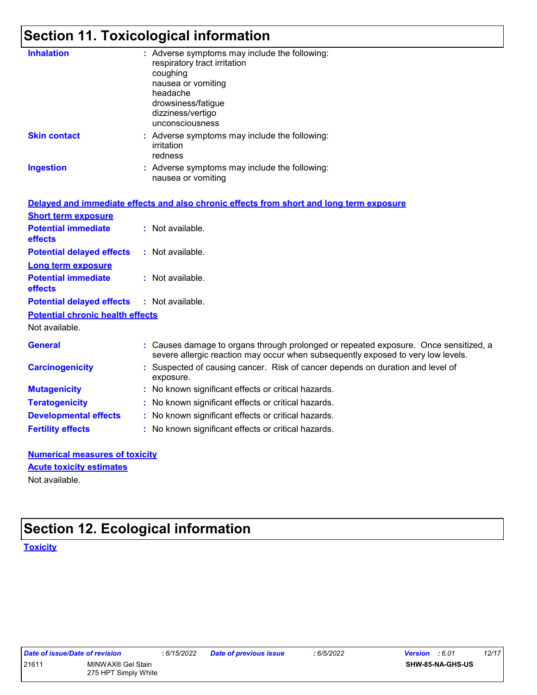# **Section 11. Toxicological information**

| <b>Inhalation</b>                       | : Adverse symptoms may include the following:<br>respiratory tract irritation<br>coughing<br>nausea or vomiting<br>headache<br>drowsiness/fatigue<br>dizziness/vertigo<br>unconsciousness |
|-----------------------------------------|-------------------------------------------------------------------------------------------------------------------------------------------------------------------------------------------|
| <b>Skin contact</b>                     | : Adverse symptoms may include the following:<br>irritation<br>redness                                                                                                                    |
| <b>Ingestion</b>                        | : Adverse symptoms may include the following:<br>nausea or vomiting                                                                                                                       |
|                                         | Delayed and immediate effects and also chronic effects from short and long term exposure                                                                                                  |
| <b>Short term exposure</b>              |                                                                                                                                                                                           |
| <b>Potential immediate</b><br>effects   | : Not available.                                                                                                                                                                          |
| <b>Potential delayed effects</b>        | : Not available.                                                                                                                                                                          |
| <b>Long term exposure</b>               |                                                                                                                                                                                           |
| <b>Potential immediate</b><br>effects   | : Not available.                                                                                                                                                                          |
| <b>Potential delayed effects</b>        | : Not available.                                                                                                                                                                          |
| <b>Potential chronic health effects</b> |                                                                                                                                                                                           |
| Not available.                          |                                                                                                                                                                                           |
| <b>General</b>                          | : Causes damage to organs through prolonged or repeated exposure. Once sensitized, a<br>severe allergic reaction may occur when subsequently exposed to very low levels.                  |
| <b>Carcinogenicity</b>                  | : Suspected of causing cancer. Risk of cancer depends on duration and level of<br>exposure.                                                                                               |
| <b>Mutagenicity</b>                     | : No known significant effects or critical hazards.                                                                                                                                       |
| <b>Teratogenicity</b>                   | : No known significant effects or critical hazards.                                                                                                                                       |
| <b>Developmental effects</b>            | : No known significant effects or critical hazards.                                                                                                                                       |
| <b>Fertility effects</b>                | : No known significant effects or critical hazards.                                                                                                                                       |
|                                         |                                                                                                                                                                                           |

| <b>Numerical measures of toxicity</b> |  |
|---------------------------------------|--|
| <b>Acute toxicity estimates</b>       |  |
| Not available.                        |  |

# **Section 12. Ecological information**

**Toxicity**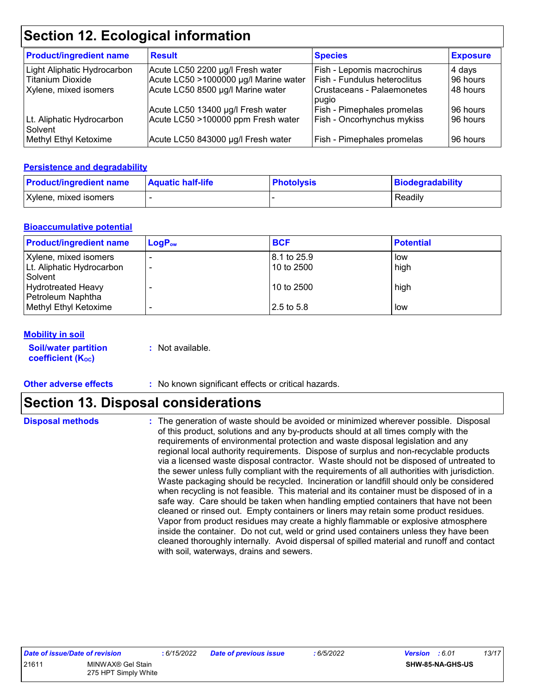### **Section 12. Ecological information**

| <b>Product/ingredient name</b>       | <b>Result</b>                         | <b>Species</b>               | <b>Exposure</b> |
|--------------------------------------|---------------------------------------|------------------------------|-----------------|
| Light Aliphatic Hydrocarbon          | Acute LC50 2200 µg/l Fresh water      | Fish - Lepomis macrochirus   | 4 days          |
| l Titanium Dioxide                   | Acute LC50 >1000000 µg/l Marine water | Fish - Fundulus heteroclitus | 96 hours        |
| Xylene, mixed isomers                | Acute LC50 8500 µg/l Marine water     | Crustaceans - Palaemonetes   | 48 hours        |
|                                      |                                       | pugio                        |                 |
|                                      | Acute LC50 13400 µg/l Fresh water     | Fish - Pimephales promelas   | 96 hours        |
| Lt. Aliphatic Hydrocarbon<br>Solvent | Acute LC50 >100000 ppm Fresh water    | Fish - Oncorhynchus mykiss   | 96 hours        |
| Methyl Ethyl Ketoxime                | Acute LC50 843000 µg/l Fresh water    | Fish - Pimephales promelas   | 96 hours        |

#### **Persistence and degradability**

| <b>Product/ingredient name</b> | <b>Aquatic half-life</b> | <b>Photolysis</b> | Biodegradability |
|--------------------------------|--------------------------|-------------------|------------------|
| Xylene, mixed isomers          |                          |                   | Readily          |

#### **Bioaccumulative potential**

| <b>Product/ingredient name</b>                            | $LogP_{ow}$ | <b>BCF</b>                | <b>Potential</b> |
|-----------------------------------------------------------|-------------|---------------------------|------------------|
| Xylene, mixed isomers<br>Lt. Aliphatic Hydrocarbon        |             | 8.1 to 25.9<br>10 to 2500 | low<br>high      |
| Solvent<br><b>Hydrotreated Heavy</b><br>Petroleum Naphtha |             | 10 to 2500                | high             |
| Methyl Ethyl Ketoxime                                     |             | 2.5 to 5.8                | low              |

#### **Mobility in soil**

**Soil/water partition coefficient (KOC)**

**:** Not available.

**Other adverse effects** : No known significant effects or critical hazards.

### **Section 13. Disposal considerations**

**Disposal methods :**

The generation of waste should be avoided or minimized wherever possible. Disposal of this product, solutions and any by-products should at all times comply with the requirements of environmental protection and waste disposal legislation and any regional local authority requirements. Dispose of surplus and non-recyclable products via a licensed waste disposal contractor. Waste should not be disposed of untreated to the sewer unless fully compliant with the requirements of all authorities with jurisdiction. Waste packaging should be recycled. Incineration or landfill should only be considered when recycling is not feasible. This material and its container must be disposed of in a safe way. Care should be taken when handling emptied containers that have not been cleaned or rinsed out. Empty containers or liners may retain some product residues. Vapor from product residues may create a highly flammable or explosive atmosphere inside the container. Do not cut, weld or grind used containers unless they have been cleaned thoroughly internally. Avoid dispersal of spilled material and runoff and contact with soil, waterways, drains and sewers.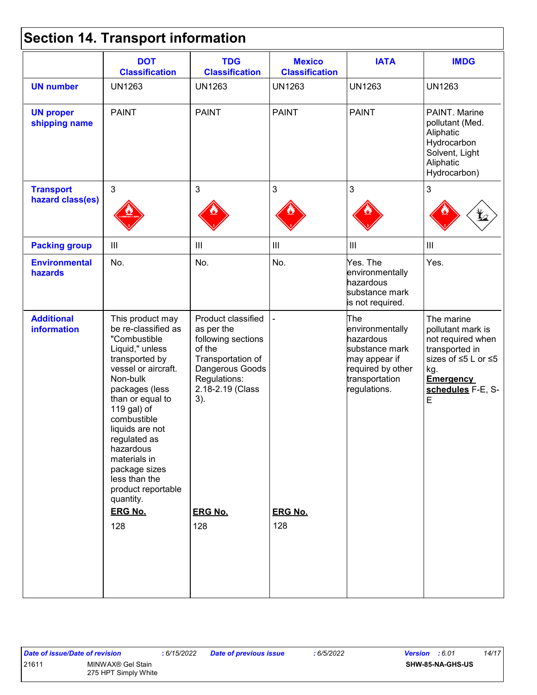## **Section 14. Transport information**

|                                         | <b>DOT</b><br><b>Classification</b>                                                                                                                                                                                                                                                                                                                               | <b>TDG</b><br><b>Classification</b>                                                                                                                                          | <b>Mexico</b><br><b>Classification</b> | <b>IATA</b>                                                                                                                   | <b>IMDG</b>                                                                                                                                        |
|-----------------------------------------|-------------------------------------------------------------------------------------------------------------------------------------------------------------------------------------------------------------------------------------------------------------------------------------------------------------------------------------------------------------------|------------------------------------------------------------------------------------------------------------------------------------------------------------------------------|----------------------------------------|-------------------------------------------------------------------------------------------------------------------------------|----------------------------------------------------------------------------------------------------------------------------------------------------|
| <b>UN number</b>                        | <b>UN1263</b>                                                                                                                                                                                                                                                                                                                                                     | <b>UN1263</b>                                                                                                                                                                | <b>UN1263</b>                          | <b>UN1263</b>                                                                                                                 | <b>UN1263</b>                                                                                                                                      |
| <b>UN proper</b><br>shipping name       | <b>PAINT</b>                                                                                                                                                                                                                                                                                                                                                      | <b>PAINT</b>                                                                                                                                                                 | <b>PAINT</b>                           | <b>PAINT</b>                                                                                                                  | PAINT. Marine<br>pollutant (Med.<br>Aliphatic<br>Hydrocarbon<br>Solvent, Light<br>Aliphatic<br>Hydrocarbon)                                        |
| <b>Transport</b>                        | $\mathbf{3}$                                                                                                                                                                                                                                                                                                                                                      | $\mathfrak{S}$                                                                                                                                                               | 3                                      | 3                                                                                                                             | $\mathfrak{S}$                                                                                                                                     |
| hazard class(es)                        |                                                                                                                                                                                                                                                                                                                                                                   |                                                                                                                                                                              |                                        |                                                                                                                               |                                                                                                                                                    |
| <b>Packing group</b>                    | Ш                                                                                                                                                                                                                                                                                                                                                                 | $\begin{array}{c} \Pi \end{array}$                                                                                                                                           | Ш                                      | $\mathop{\mathrm{III}}\nolimits$                                                                                              | $\vert\vert\vert$                                                                                                                                  |
| <b>Environmental</b><br>hazards         | No.                                                                                                                                                                                                                                                                                                                                                               | No.                                                                                                                                                                          | No.                                    | Yes. The<br>environmentally<br>hazardous<br>substance mark<br>is not required.                                                | Yes.                                                                                                                                               |
| <b>Additional</b><br><b>information</b> | This product may<br>be re-classified as<br>"Combustible<br>Liquid," unless<br>transported by<br>vessel or aircraft.<br>Non-bulk<br>packages (less<br>than or equal to<br>119 gal) of<br>combustible<br>liquids are not<br>regulated as<br>hazardous<br>materials in<br>package sizes<br>less than the<br>product reportable<br>quantity.<br><b>ERG No.</b><br>128 | Product classified<br>as per the<br>following sections<br>of the<br>Transportation of<br>Dangerous Goods<br>Regulations:<br>2.18-2.19 (Class<br>3).<br><b>ERG No.</b><br>128 | <b>ERG No.</b><br>128                  | The<br>environmentally<br>hazardous<br>substance mark<br>may appear if<br>required by other<br>transportation<br>regulations. | The marine<br>pollutant mark is<br>not required when<br>transported in<br>sizes of ≤5 L or ≤5<br>kg.<br><b>Emergency</b><br>schedules F-E, S-<br>E |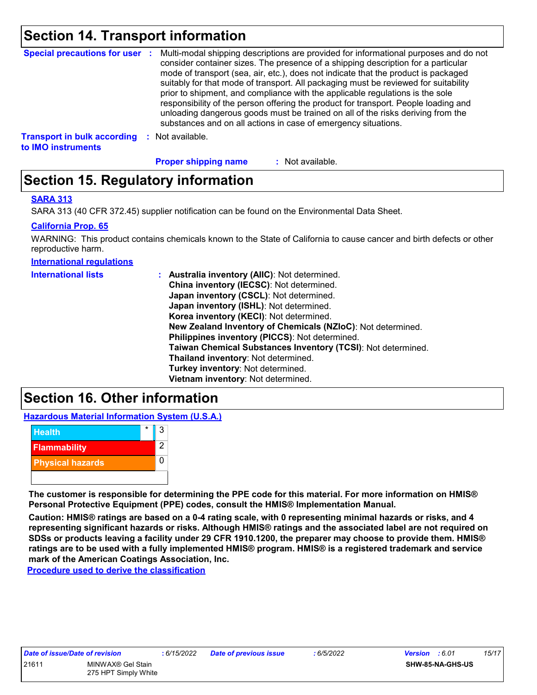### **Section 14. Transport information**

|                                                          |    | Special precautions for user : Multi-modal shipping descriptions are provided for informational purposes and do not<br>consider container sizes. The presence of a shipping description for a particular<br>mode of transport (sea, air, etc.), does not indicate that the product is packaged<br>suitably for that mode of transport. All packaging must be reviewed for suitability<br>prior to shipment, and compliance with the applicable regulations is the sole<br>responsibility of the person offering the product for transport. People loading and<br>unloading dangerous goods must be trained on all of the risks deriving from the<br>substances and on all actions in case of emergency situations. |
|----------------------------------------------------------|----|--------------------------------------------------------------------------------------------------------------------------------------------------------------------------------------------------------------------------------------------------------------------------------------------------------------------------------------------------------------------------------------------------------------------------------------------------------------------------------------------------------------------------------------------------------------------------------------------------------------------------------------------------------------------------------------------------------------------|
| <b>Transport in bulk according</b><br>to IMO instruments | л. | Not available.                                                                                                                                                                                                                                                                                                                                                                                                                                                                                                                                                                                                                                                                                                     |

**Proper shipping name :**

: Not available.

### **Section 15. Regulatory information**

#### **SARA 313**

SARA 313 (40 CFR 372.45) supplier notification can be found on the Environmental Data Sheet.

#### **California Prop. 65**

WARNING: This product contains chemicals known to the State of California to cause cancer and birth defects or other reproductive harm.

**International regulations**

| <b>International lists</b> | : Australia inventory (AIIC): Not determined.                |
|----------------------------|--------------------------------------------------------------|
|                            | China inventory (IECSC): Not determined.                     |
|                            | Japan inventory (CSCL): Not determined.                      |
|                            | Japan inventory (ISHL): Not determined.                      |
|                            | Korea inventory (KECI): Not determined.                      |
|                            | New Zealand Inventory of Chemicals (NZIoC): Not determined.  |
|                            | Philippines inventory (PICCS): Not determined.               |
|                            | Taiwan Chemical Substances Inventory (TCSI): Not determined. |
|                            | Thailand inventory: Not determined.                          |
|                            | Turkey inventory: Not determined.                            |
|                            | Vietnam inventory: Not determined.                           |

### **Section 16. Other information**

**Hazardous Material Information System (U.S.A.)**



**The customer is responsible for determining the PPE code for this material. For more information on HMIS® Personal Protective Equipment (PPE) codes, consult the HMIS® Implementation Manual.**

**Caution: HMIS® ratings are based on a 0-4 rating scale, with 0 representing minimal hazards or risks, and 4 representing significant hazards or risks. Although HMIS® ratings and the associated label are not required on SDSs or products leaving a facility under 29 CFR 1910.1200, the preparer may choose to provide them. HMIS® ratings are to be used with a fully implemented HMIS® program. HMIS® is a registered trademark and service mark of the American Coatings Association, Inc.**

**Procedure used to derive the classification**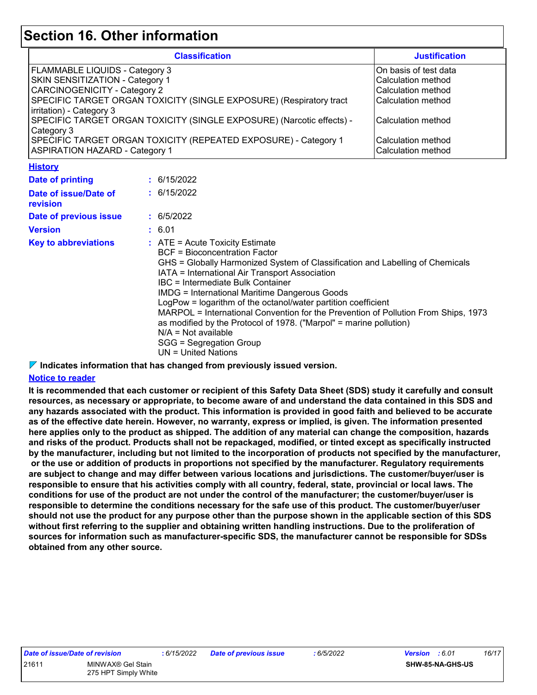### **Section 16. Other information**

| <b>Classification</b>                                                 | <b>Justification</b>  |
|-----------------------------------------------------------------------|-----------------------|
| <b>FLAMMABLE LIQUIDS - Category 3</b>                                 | On basis of test data |
| <b>SKIN SENSITIZATION - Category 1</b>                                | Calculation method    |
| <b>CARCINOGENICITY - Category 2</b>                                   | Calculation method    |
| SPECIFIC TARGET ORGAN TOXICITY (SINGLE EXPOSURE) (Respiratory tract   | Calculation method    |
| irritation) - Category 3                                              |                       |
| SPECIFIC TARGET ORGAN TOXICITY (SINGLE EXPOSURE) (Narcotic effects) - | Calculation method    |
| Category 3                                                            |                       |
| SPECIFIC TARGET ORGAN TOXICITY (REPEATED EXPOSURE) - Category 1       | Calculation method    |
| <b>ASPIRATION HAZARD - Category 1</b>                                 | Calculation method    |

**History**

| Date of printing                  | : 6/15/2022                                                                                                                                                                                                                                                                                                                                                                                                                                                                                                                                                                                                  |
|-----------------------------------|--------------------------------------------------------------------------------------------------------------------------------------------------------------------------------------------------------------------------------------------------------------------------------------------------------------------------------------------------------------------------------------------------------------------------------------------------------------------------------------------------------------------------------------------------------------------------------------------------------------|
| Date of issue/Date of<br>revision | : 6/15/2022                                                                                                                                                                                                                                                                                                                                                                                                                                                                                                                                                                                                  |
| Date of previous issue            | : 6/5/2022                                                                                                                                                                                                                                                                                                                                                                                                                                                                                                                                                                                                   |
| <b>Version</b>                    | : 6.01                                                                                                                                                                                                                                                                                                                                                                                                                                                                                                                                                                                                       |
| <b>Key to abbreviations</b>       | $\therefore$ ATE = Acute Toxicity Estimate<br>BCF = Bioconcentration Factor<br>GHS = Globally Harmonized System of Classification and Labelling of Chemicals<br>IATA = International Air Transport Association<br>IBC = Intermediate Bulk Container<br>IMDG = International Maritime Dangerous Goods<br>LogPow = logarithm of the octanol/water partition coefficient<br>MARPOL = International Convention for the Prevention of Pollution From Ships, 1973<br>as modified by the Protocol of 1978. ("Marpol" = marine pollution)<br>$N/A = Not available$<br>SGG = Segregation Group<br>UN = United Nations |

**Indicates information that has changed from previously issued version.**

#### **Notice to reader**

**It is recommended that each customer or recipient of this Safety Data Sheet (SDS) study it carefully and consult resources, as necessary or appropriate, to become aware of and understand the data contained in this SDS and any hazards associated with the product. This information is provided in good faith and believed to be accurate as of the effective date herein. However, no warranty, express or implied, is given. The information presented here applies only to the product as shipped. The addition of any material can change the composition, hazards and risks of the product. Products shall not be repackaged, modified, or tinted except as specifically instructed by the manufacturer, including but not limited to the incorporation of products not specified by the manufacturer, or the use or addition of products in proportions not specified by the manufacturer. Regulatory requirements are subject to change and may differ between various locations and jurisdictions. The customer/buyer/user is responsible to ensure that his activities comply with all country, federal, state, provincial or local laws. The conditions for use of the product are not under the control of the manufacturer; the customer/buyer/user is responsible to determine the conditions necessary for the safe use of this product. The customer/buyer/user should not use the product for any purpose other than the purpose shown in the applicable section of this SDS without first referring to the supplier and obtaining written handling instructions. Due to the proliferation of sources for information such as manufacturer-specific SDS, the manufacturer cannot be responsible for SDSs obtained from any other source.**